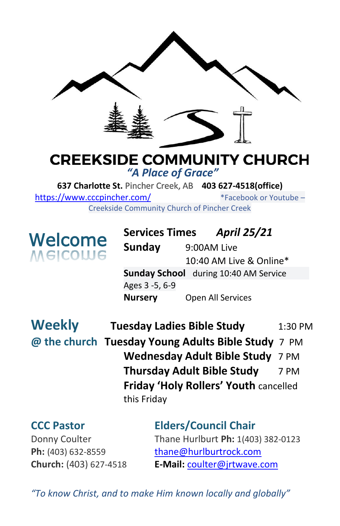

### **CREEKSIDE COMMUNITY CHURCH** *"A Place of Grace"*

**637 Charlotte St.** Pincher Creek, AB **403 627-4518(office)**  <https://www.cccpincher.com/>\*Facebook or Youtube – Creekside Community Church of Pincher Creek

**Welcome**<br>Melcowe

**! Services Times** *April 25/21* **Sunday** 9:00AM Live

10:40 AM Live & Online\* **Sunday School** during 10:40 AM Service Ages 3 -5, 6-9

**Nursery** Open All Services

**Weekly Tuesday Ladies Bible Study** 1:30 PM **@ the church Tuesday Young Adults Bible Study** 7 PM **Wednesday Adult Bible Study** 7 PM **Thursday Adult Bible Study** 7 PM **Friday 'Holy Rollers' Youth** cancelled this Friday

**CCC Pastor Elders/Council Chair** Donny Coulter Thane Hurlburt **Ph:** 1(403) 382-0123 Ph: (403) 632-8559 [thane@hurlburtrock.com](mailto:thane@hurlburtrock.com) **Church:** (403) 627-4518 **E-Mail:** [coulter@jrtwave.com](mailto:coulter@jrtwave.com)

*"To know Christ, and to make Him known locally and globally"*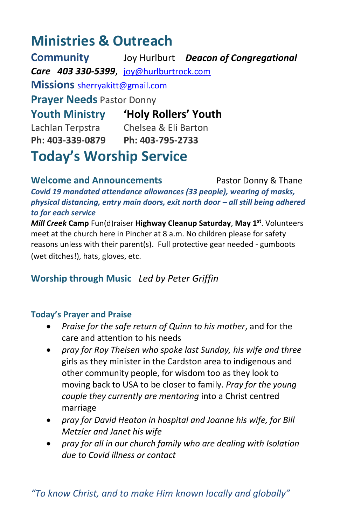## **Ministries & Outreach**

**Community** Joy Hurlburt *Deacon of Congregational Care 403 330-5399*, [joy@hurlburtrock.com](mailto:joy@hurlburtrock.com) **Missions** [sherryakitt@gmail.com](mailto:sherryakitt@gmail.com) **Prayer Needs** Pastor Donny **Youth Ministry 'Holy Rollers' Youth** Lachlan Terpstra Chelsea & Eli Barton **Ph: 403-339-0879 Ph: 403-795-2733 Today's Worship Service**

**Welcome and Announcements** Pastor Donny & Thane *Covid 19 mandated attendance allowances (33 people), wearing of masks, physical distancing, entry main doors, exit north door – all still being adhered to for each service*

*Mill Creek* **Camp** Fun(d)raiser **Highway Cleanup Saturday**, **May 1 st**. Volunteers meet at the church here in Pincher at 8 a.m. No children please for safety reasons unless with their parent(s). Full protective gear needed - gumboots (wet ditches!), hats, gloves, etc.

#### **Worship through Music** *Led by Peter Griffin*

#### **Today's Prayer and Praise**

- *Praise for the safe return of Quinn to his mother*, and for the care and attention to his needs
- *pray for Roy Theisen who spoke last Sunday, his wife and three*  girls as they minister in the Cardston area to indigenous and other community people, for wisdom too as they look to moving back to USA to be closer to family. *Pray for the young couple they currently are mentoring* into a Christ centred marriage
- *pray for David Heaton in hospital and Joanne his wife, for Bill Metzler and Janet his wife*
- *pray for all in our church family who are dealing with Isolation due to Covid illness or contact*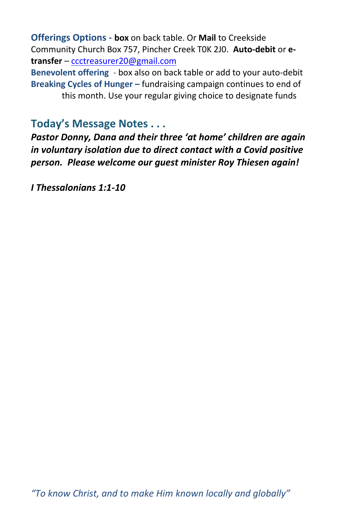**Offerings Options - box** on back table. Or **Mail** to Creekside Community Church Box 757, Pincher Creek T0K 2J0. **Auto-debit** or **etransfer** – [ccctreasurer20@gmail.com](mailto:ccctreasurer20@gmail.com)

**Benevolent offering** - box also on back table or add to your auto-debit **Breaking Cycles of Hunger –** fundraising campaign continues to end of this month. Use your regular giving choice to designate funds

#### **Today's Message Notes . . .**

*Pastor Donny, Dana and their three 'at home' children are again in voluntary isolation due to direct contact with a Covid positive person. Please welcome our guest minister Roy Thiesen again!*

*I Thessalonians 1:1-10*